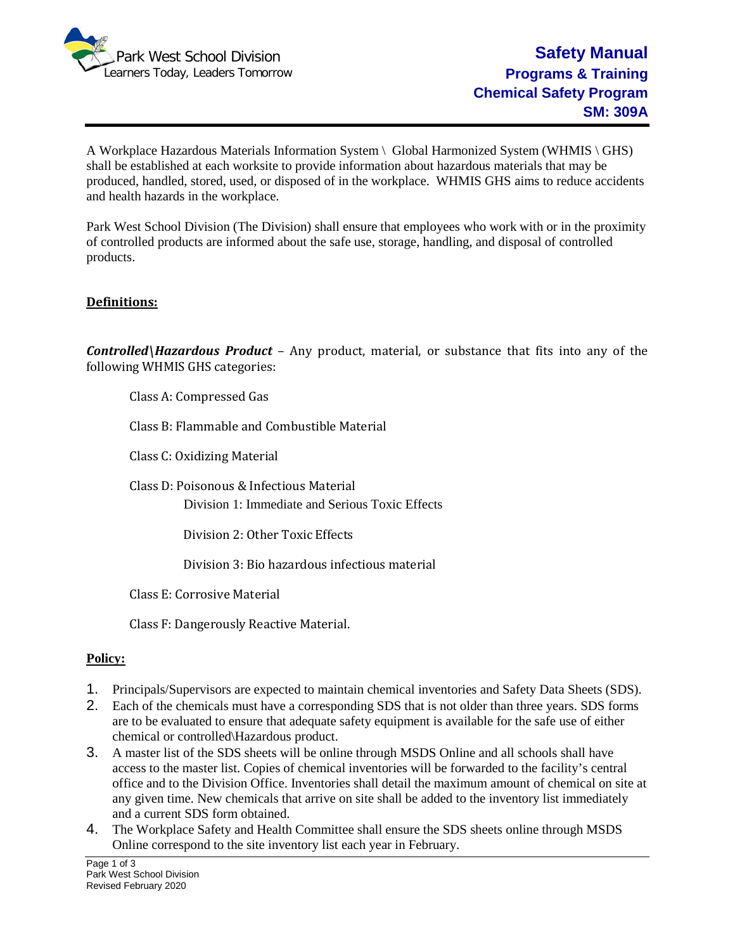

A Workplace Hazardous Materials Information System \ Global Harmonized System (WHMIS \ GHS) shall be established at each worksite to provide information about hazardous materials that may be produced, handled, stored, used, or disposed of in the workplace. WHMIS GHS aims to reduce accidents and health hazards in the workplace.

Park West School Division (The Division) shall ensure that employees who work with or in the proximity of controlled products are informed about the safe use, storage, handling, and disposal of controlled products.

## **Definitions:**

*Controlled\Hazardous Product* – Any product, material, or substance that fits into any of the following WHMIS GHS categories:

Class A: Compressed Gas

Class B: Flammable and Combustible Material

Class C: Oxidizing Material

Class D: Poisonous & Infectious Material Division 1: Immediate and Serious Toxic Effects

Division 2: Other Toxic Effects

Division 3: Bio hazardous infectious material

Class E: Corrosive Material

Class F: Dangerously Reactive Material.

## **Policy:**

- 1. Principals/Supervisors are expected to maintain chemical inventories and Safety Data Sheets (SDS).
- 2. Each of the chemicals must have a corresponding SDS that is not older than three years. SDS forms are to be evaluated to ensure that adequate safety equipment is available for the safe use of either chemical or controlled\Hazardous product.
- 3. A master list of the SDS sheets will be online through MSDS Online and all schools shall have access to the master list. Copies of chemical inventories will be forwarded to the facility's central office and to the Division Office. Inventories shall detail the maximum amount of chemical on site at any given time. New chemicals that arrive on site shall be added to the inventory list immediately and a current SDS form obtained.
- 4. The Workplace Safety and Health Committee shall ensure the SDS sheets online through MSDS Online correspond to the site inventory list each year in February.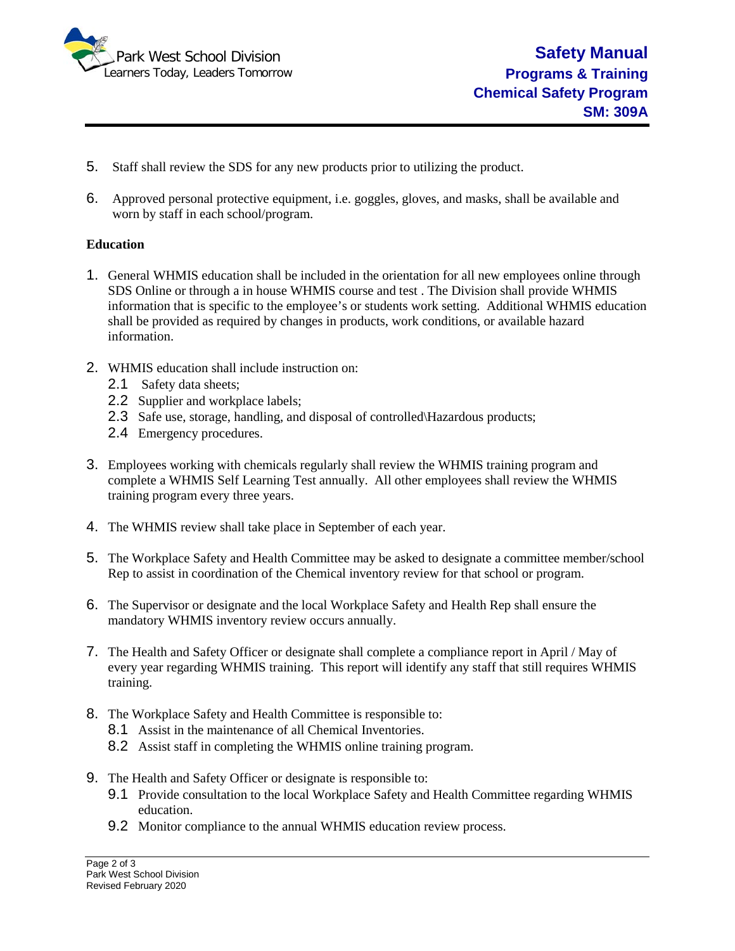

- 5. Staff shall review the SDS for any new products prior to utilizing the product.
- 6. Approved personal protective equipment, i.e. goggles, gloves, and masks, shall be available and worn by staff in each school/program.

## **Education**

- 1. General WHMIS education shall be included in the orientation for all new employees online through SDS Online or through a in house WHMIS course and test . The Division shall provide WHMIS information that is specific to the employee's or students work setting. Additional WHMIS education shall be provided as required by changes in products, work conditions, or available hazard information.
- 2. WHMIS education shall include instruction on:
	- 2.1 Safety data sheets;
	- 2.2 Supplier and workplace labels;
	- 2.3 Safe use, storage, handling, and disposal of controlled\Hazardous products;
	- 2.4 Emergency procedures.
- 3. Employees working with chemicals regularly shall review the WHMIS training program and complete a WHMIS Self Learning Test annually. All other employees shall review the WHMIS training program every three years.
- 4. The WHMIS review shall take place in September of each year.
- 5. The Workplace Safety and Health Committee may be asked to designate a committee member/school Rep to assist in coordination of the Chemical inventory review for that school or program.
- 6. The Supervisor or designate and the local Workplace Safety and Health Rep shall ensure the mandatory WHMIS inventory review occurs annually.
- 7. The Health and Safety Officer or designate shall complete a compliance report in April / May of every year regarding WHMIS training. This report will identify any staff that still requires WHMIS training.
- 8. The Workplace Safety and Health Committee is responsible to:
	- 8.1 Assist in the maintenance of all Chemical Inventories.
	- 8.2 Assist staff in completing the WHMIS online training program.
- 9. The Health and Safety Officer or designate is responsible to:
	- 9.1 Provide consultation to the local Workplace Safety and Health Committee regarding WHMIS education.
	- 9.2 Monitor compliance to the annual WHMIS education review process.